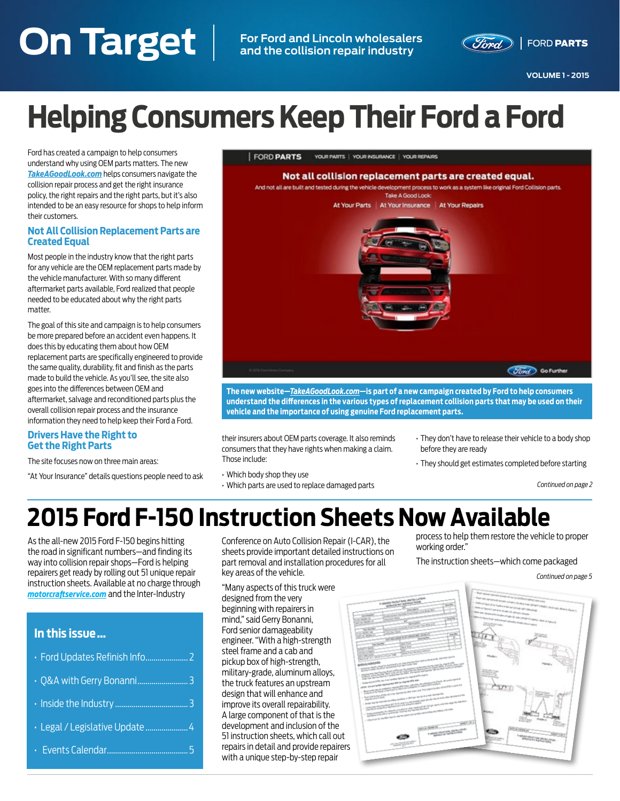# <span id="page-0-0"></span>**On Target VOLUME 1 - 2015 On Target For Ford and Lincoln wholesalers and the collision repair industry**



**VOLUME 1 - 2015**

# **Helping Consumers Keep Their Ford a Ford**

Ford has created a campaign to help consumers understand why using OEM parts matters. The new *[TakeAGoodLook.com](http://TakeAGoodLook.com)* helps consumers navigate the collision repair process and get the right insurance policy, the right repairs and the right parts, but it's also intended to be an easy resource for shops to help inform their customers.

#### **Not All Collision Replacement Parts are Created Equal**

Most people in the industry know that the right parts for any vehicle are the OEM replacement parts made by the vehicle manufacturer. With so many different aftermarket parts available, Ford realized that people needed to be educated about why the right parts matter.

The goal of this site and campaign is to help consumers be more prepared before an accident even happens. It does this by educating them about how OEM replacement parts are specifically engineered to provide the same quality, durability, fit and finish as the parts made to build the vehicle. As you'll see, the site also goes into the differences between OEM and aftermarket, salvage and reconditioned parts plus the overall collision repair process and the insurance information they need to help keep their Ford a Ford.

#### **Drivers Have the Right to Get the Right Parts**

The site focuses now on three main areas:

"At Your Insurance" details questions people need to ask



**The new website—***[TakeAGoodLook.com](http://TakeAGoodLook.com)***—is part of a new campaign created by Ford to help consumers understand the differences in the various types of replacement collision parts that may be used on their vehicle and the importance of using genuine Ford replacement parts.**

their insurers about OEM parts coverage. It also reminds consumers that they have rights when making a claim. Those include:

- Which body shop they use
- Which parts are used to replace damaged parts
- They don't have to release their vehicle to a body shop before they are ready
- They should get estimates completed before starting

*[Continued on page 2](#page-1-0)*

# **2015 Ford F-150 Instruction Sheets Now Available**

As the all-new 2015 Ford F-150 begins hitting the road in significant numbers—and finding its way into collision repair shops—Ford is helping repairers get ready by rolling out 51 unique repair instruction sheets. Available at no charge through *[motorcraftservice.com](http://MotorCraftService.com)* and the Inter-Industry

# **In this issue …**

| · Legal / Legislative Update  4 |
|---------------------------------|
|                                 |

Conference on Auto Collision Repair (I-CAR), the sheets provide important detailed instructions on part removal and installation procedures for all key areas of the vehicle.

"Many aspects of this truck were designed from the very beginning with repairers in mind," said Gerry Bonanni, Ford senior damageability engineer. "With a high-strength steel frame and a cab and pickup box of high-strength, military-grade, aluminum alloys, the truck features an upstream design that will enhance and improve its overall repairability. A large component of that is the development and inclusion of the 51 instruction sheets, which call out repairs in detail and provide repairers with a unique step-by-step repair

process to help them restore the vehicle to proper working order."

The instruction sheets—which come packaged

*[Continued on page 5](#page-4-0)*

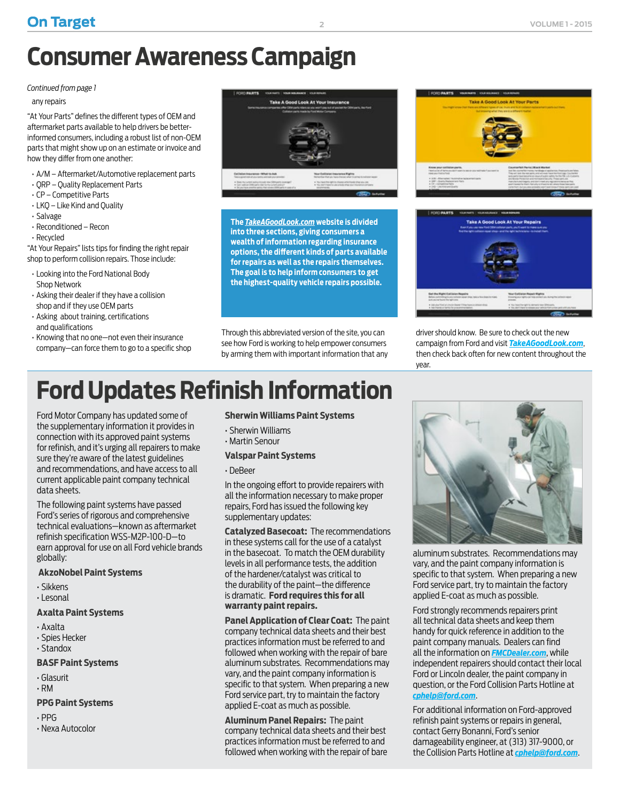# <span id="page-1-0"></span>**Consumer Awareness Campaign**

### *[Continued from page 1](#page-0-0)*

### any repairs

"At Your Parts" defines the different types of OEM and aftermarket parts available to help drivers be betterinformed consumers, including a robust list of non-OEM parts that might show up on an estimate or invoice and how they differ from one another:

- A/M Aftermarket/Automotive replacement parts
- QRP Quality Replacement Parts
- CP Competitive Parts
- LKQ Like Kind and Quality
- Salvage
- Reconditioned Recon
- Recycled

"At Your Repairs" lists tips for finding the right repair shop to perform collision repairs. Those include:

- Looking into the Ford National Body Shop Network
- Asking their dealer if they have a collision shop and if they use OEM parts
- Asking about training, certifications and qualifications
- Knowing that no one—not even their insurance company—can force them to go to a specific shop



**The** *[TakeAGoodLook.com](http://TakeAGoodLook.com)* **website is divided into three sections, giving consumers a wealth of information regarding insurance options, the different kinds of parts available for repairs as well as the repairs themselves. The goal is to help inform consumers to get the highest-quality vehicle repairs possible.**

Through this abbreviated version of the site, you can see how Ford is working to help empower consumers by arming them with important information that any

# **Ford Updates Refinish Information**

Ford Motor Company has updated some of the supplementary information it provides in connection with its approved paint systems for refinish, and it's urging all repairers to make sure they're aware of the latest guidelines and recommendations, and have access to all current applicable paint company technical data sheets.

The following paint systems have passed Ford's series of rigorous and comprehensive technical evaluations—known as aftermarket refinish specification WSS-M2P-100-D—to earn approval for use on all Ford vehicle brands globally:

### **AkzoNobel Paint Systems**

- Sikkens
- Lesonal

### **Axalta Paint Systems**

- Axalta
- Spies Hecker
- Standox

### **BASF Paint Systems**

- Glasurit
- RM

### **PPG Paint Systems**

- PPG
- Nexa Autocolor

### **Sherwin Williams Paint Systems**

- Sherwin Williams
- Martin Senour

### **Valspar Paint Systems**

• DeBeer

In the ongoing effort to provide repairers with all the information necessary to make proper repairs, Ford has issued the following key supplementary updates:

**Catalyzed Basecoat:** The recommendations in these systems call for the use of a catalyst in the basecoat. To match the OEM durability levels in all performance tests, the addition of the hardener/catalyst was critical to the durability of the paint—the difference is dramatic. **Ford requires this for all warranty paint repairs.**

**Panel Application of Clear Coat:** The paint company technical data sheets and their best practices information must be referred to and followed when working with the repair of bare aluminum substrates. Recommendations may vary, and the paint company information is specific to that system. When preparing a new Ford service part, try to maintain the factory applied E-coat as much as possible.

**Aluminum Panel Repairs:** The paint company technical data sheets and their best practices information must be referred to and followed when working with the repair of bare





driver should know. Be sure to check out the new campaign from Ford and visit *[TakeAGoodLook.com](http://www.takeagoodlook.com)*, then check back often for new content throughout the year.



aluminum substrates. Recommendations may vary, and the paint company information is specific to that system. When preparing a new Ford service part, try to maintain the factory applied E-coat as much as possible.

Ford strongly recommends repairers print all technical data sheets and keep them handy for quick reference in addition to the paint company manuals. Dealers can find all the information on *[FMCDealer.com](https://FMCDealer.com)*, while independent repairers should contact their local Ford or Lincoln dealer, the paint company in question, or the Ford Collision Parts Hotline at *[cphelp@ford.com](mailto:cphelp@ford.com)*.

For additional information on Ford-approved refinish paint systems or repairs in general, contact Gerry Bonanni, Ford's senior damageability engineer, at (313) 317-9000, or the Collision Parts Hotline at *[cphelp@ford.com](mailto:cphelp@ford.com)*.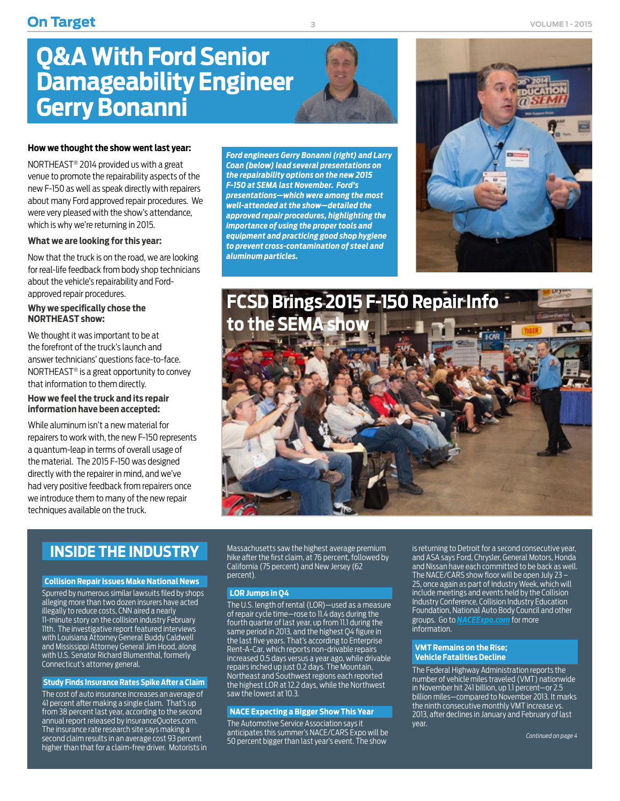# <span id="page-2-0"></span>**Q&A With Ford Senior Damageability Engineer Gerry Bonanni**

#### **How we thought the show went last year:**

NORTHEAST® 2014 provided us with a great venue to promote the repairability aspects of the new F-150 as well as speak directly with repairers about many Ford approved repair procedures. We were very pleased with the show's attendance, which is why we're returning in 2015.

#### **What we are looking for this year:**

Now that the truck is on the road, we are looking for real-life feedback from body shop technicians about the vehicle's repairability and Fordapproved repair procedures.

#### **Why we specifically chose the NORTHEAST show:**

We thought it was important to be at the forefront of the truck's launch and answer technicians' questions face-to-face. NORTHEAST® is a great opportunity to convey that information to them directly.

#### **How we feel the truck and its repair information have been accepted:**

While aluminum isn't a new material for repairers to work with, the new F-150 represents a quantum-leap in terms of overall usage of the material. The 2015 F-150 was designed directly with the repairer in mind, and we've had very positive feedback from repairers once we introduce them to many of the new repair techniques available on the truck.

*Ford engineers Gerry Bonanni (right) and Larry Coan (below) lead several presentations on the repairability options on the new 2015 F-150 at SEMA last November. Ford's presentations—which were among the most well-attended at the show—detailed the approved repair procedures, highlighting the importance of using the proper tools and equipment and practicing good shop hygiene to prevent cross-contamination of steel and aluminum particles.*





# **INSIDE THE INDUSTRY**

#### **Collision Repair Issues Make National News**

Spurred by numerous similar lawsuits filed by shops alleging more than two dozen insurers have acted illegally to reduce costs, CNN aired a nearly 11-minute story on the collision industry February 11th. The investigative report featured interviews with Louisiana Attorney General Buddy Caldwell and Mississippi Attorney General Jim Hood, along with U.S. Senator Richard Blumenthal, formerly Connecticut's attorney general.

#### **Study Finds Insurance Rates Spike After a Claim**

The cost of auto insurance increases an average of 41 percent after making a single claim. That's up from 38 percent last year, according to the second annual report released by insuranceQuotes.com. The insurance rate research site says making a second claim results in an average cost 93 percent higher than that for a claim-free driver. Motorists in Massachusetts saw the highest average premium hike after the first claim, at 76 percent, followed by California (75 percent) and New Jersey (62 percent).

#### **LOR Jumps in Q4**

The U.S. length of rental (LOR)—used as a measure of repair cycle time—rose to 11.4 days during the fourth quarter of last year, up from 11.1 during the same period in 2013, and the highest Q4 figure in the last five years. That's according to Enterprise Rent-A-Car, which reports non-drivable repairs increased 0.5 days versus a year ago, while drivable repairs inched up just 0.2 days. The Mountain, Northeast and Southwest regions each reported the highest LOR at 12.2 days, while the Northwest saw the lowest at 10.3.

#### **NACE Expecting a Bigger Show This Year**

The Automotive Service Association says it anticipates this summer's NACE/CARS Expo will be 50 percent bigger than last year's event. The show

is returning to Detroit for a second consecutive year, and ASA says Ford, Chrysler, General Motors, Honda and Nissan have each committed to be back as well. The NACE/CARS show floor will be open July 23 – 25, once again as part of Industry Week, which will include meetings and events held by the Collision Industry Conference, Collision Industry Education Foundation, National Auto Body Council and other groups. Go to *[NACEExpo.com](http://naceexpo.com)* for more information.

#### **VMT Remains on the Rise; Vehicle Fatalities Decline**

The Federal Highway Administration reports the number of vehicle miles traveled (VMT) nationwide in November hit 241 billion, up 1.1 percent—or 2.5 billion miles—compared to November 2013. It marks the ninth consecutive monthly VMT increase vs. 2013, after declines in January and February of last year.

*[Continued on page 4](#page-3-0)*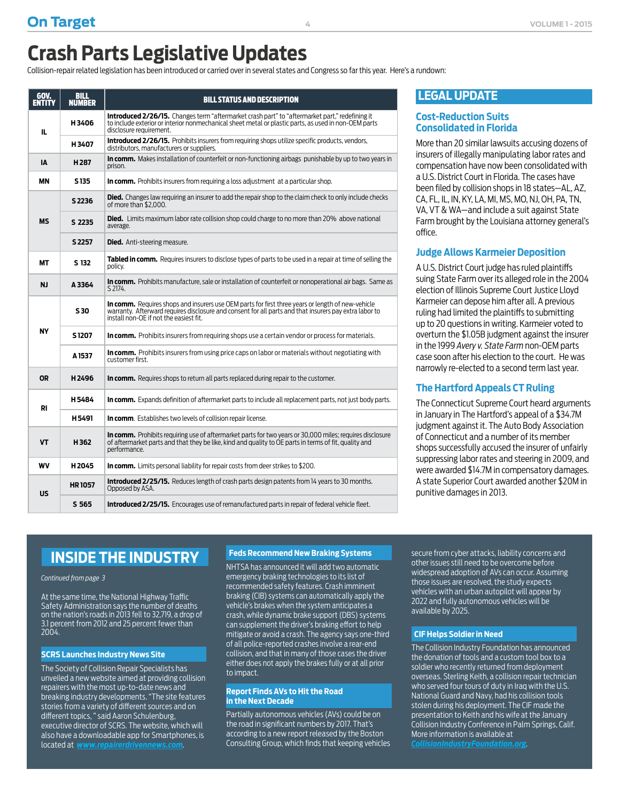<span id="page-3-0"></span>Collision-repair related legislation has been introduced or carried over in several states and Congress so far this year. Here's a rundown:

| GOV.      | <b>BILL</b><br><b>NUMBER</b> | <b>BILL STATUS AND DESCRIPTION</b>                                                                                                                                                                                                                           |  |  |  |  |
|-----------|------------------------------|--------------------------------------------------------------------------------------------------------------------------------------------------------------------------------------------------------------------------------------------------------------|--|--|--|--|
| IL.       | H3406                        | <b>Introduced 2/26/15.</b> Changes term "aftermarket crash part" to "aftermarket part," redefining it<br>to include exterior or interior nonmechanical sheet metal or plastic parts, as used in non-OEM parts<br>disclosure requirement.                     |  |  |  |  |
|           | H3407                        | Introduced 2/26/15. Prohibits insurers from requiring shops utilize specific products, vendors,<br>distributors, manufacturers or suppliers.                                                                                                                 |  |  |  |  |
| ΙA        | H <sub>287</sub>             | In comm. Makes installation of counterfeit or non-functioning airbags punishable by up to two years in<br>prison.                                                                                                                                            |  |  |  |  |
| <b>MN</b> | S <sub>135</sub>             | <b>In comm.</b> Prohibits insurers from requiring a loss adjustment at a particular shop.                                                                                                                                                                    |  |  |  |  |
| <b>MS</b> | S 2236                       | <b>Died.</b> Changes law requiring an insurer to add the repair shop to the claim check to only include checks<br>of more than \$2.000.                                                                                                                      |  |  |  |  |
|           | S 2235                       | <b>Died.</b> Limits maximum labor rate collision shop could charge to no more than 20% above national<br>average.                                                                                                                                            |  |  |  |  |
|           | S 2257                       | <b>Died.</b> Anti-steering measure.                                                                                                                                                                                                                          |  |  |  |  |
| МT        | S 132                        | <b>Tabled in comm.</b> Requires insurers to disclose types of parts to be used in a repair at time of selling the<br>policy.                                                                                                                                 |  |  |  |  |
| <b>NJ</b> | A 3364                       | In comm. Prohibits manufacture, sale or installation of counterfeit or nonoperational air bags. Same as<br>S 2174                                                                                                                                            |  |  |  |  |
|           | S30                          | <b>In comm.</b> Requires shops and insurers use OEM parts for first three years or length of new-vehicle<br>warranty. Afterward requires disclosure and consent for all parts and that insurers pay extra labor to<br>install non-OE if not the easiest fit. |  |  |  |  |
| NY        | S <sub>1207</sub>            | In comm. Prohibits insurers from requiring shops use a certain vendor or process for materials.                                                                                                                                                              |  |  |  |  |
|           | A 1537                       | In comm. Prohibits insurers from using price caps on labor or materials without negotiating with<br>customer first                                                                                                                                           |  |  |  |  |
| 0R        | H <sub>2496</sub>            | <b>In comm.</b> Requires shops to return all parts replaced during repair to the customer.                                                                                                                                                                   |  |  |  |  |
| RI        | H5484                        | In comm. Expands definition of aftermarket parts to include all replacement parts, not just body parts.                                                                                                                                                      |  |  |  |  |
|           | H <sub>5491</sub>            | <b>In comm.</b> Establishes two levels of collision repair license.                                                                                                                                                                                          |  |  |  |  |
| <b>VT</b> | H362                         | <b>In comm.</b> Prohibits requiring use of aftermarket parts for two years or 30,000 miles; requires disclosure<br>of aftermarket parts and that they be like, kind and quality to OE parts in terms of fit, quality and<br>performance.                     |  |  |  |  |
| WV        | H <sub>2045</sub>            | <b>In comm.</b> Limits personal liability for repair costs from deer strikes to \$200.                                                                                                                                                                       |  |  |  |  |
| US        | <b>HR1057</b>                | <b>Introduced 2/25/15.</b> Reduces length of crash parts design patents from 14 years to 30 months.<br>Opposed by ASA.                                                                                                                                       |  |  |  |  |
|           | S 565                        | <b>Introduced 2/25/15.</b> Encourages use of remanufactured parts in repair of federal vehicle fleet.                                                                                                                                                        |  |  |  |  |

# **LEGAL UPDATE**

### **Cost-Reduction Suits Consolidated in Florida**

More than 20 similar lawsuits accusing dozens of insurers of illegally manipulating labor rates and compensation have now been consolidated with a U.S. District Court in Florida. The cases have been filed by collision shops in 18 states—AL, AZ, CA, FL, IL, IN, KY, LA, MI, MS, MO, NJ, OH, PA, TN, VA, VT & WA—and include a suit against State Farm brought by the Louisiana attorney general's office.

### **Judge Allows Karmeier Deposition**

A U.S. District Court judge has ruled plaintiffs suing State Farm over its alleged role in the 2004 election of Illinois Supreme Court Justice Lloyd Karmeier can depose him after all. A previous ruling had limited the plaintiffs to submitting up to 20 questions in writing. Karmeier voted to overturn the \$1.05B judgment against the insurer in the 1999 *Avery v. State Farm* non-OEM parts case soon after his election to the court. He was narrowly re-elected to a second term last year.

## **The Hartford Appeals CT Ruling**

The Connecticut Supreme Court heard arguments in January in The Hartford's appeal of a \$34.7M judgment against it. The Auto Body Association of Connecticut and a number of its member shops successfully accused the insurer of unfairly suppressing labor rates and steering in 2009, and were awarded \$14.7M in compensatory damages. A state Superior Court awarded another \$20M in punitive damages in 2013.

# **INSIDE THE INDUSTRY**

*[Continued from page 3](#page-2-0)*

At the same time, the National Highway Traffic Safety Administration says the number of deaths on the nation's roads in 2013 fell to 32,719, a drop of 3.1 percent from 2012 and 25 percent fewer than 2004.

#### **SCRS Launches Industry News Site**

The Society of Collision Repair Specialists has unveiled a new website aimed at providing collision repairers with the most up-to-date news and breaking industry developments. "The site features stories from a variety of different sources and on different topics, " said Aaron Schulenburg, executive director of SCRS. The website, which will also have a downloadable app for Smartphones, is located at **www.repai** 

#### **Feds Recommend New Braking Systems**

NHTSA has announced it will add two automatic emergency braking technologies to its list of recommended safety features. Crash imminent braking (CIB) systems can automatically apply the vehicle's brakes when the system anticipates a crash, while dynamic brake support (DBS) systems can supplement the driver's braking effort to help mitigate or avoid a crash. The agency says one-third of all police-reported crashes involve a rear-end collision, and that in many of those cases the driver either does not apply the brakes fully or at all prior to impact.

#### **Report Finds AVs to Hit the Road in the Next Decade**

Partially autonomous vehicles (AVs) could be on the road in significant numbers by 2017. That's according to a new report released by the Boston Consulting Group, which finds that keeping vehicles secure from cyber attacks, liability concerns and other issues still need to be overcome before widespread adoption of AVs can occur. Assuming those issues are resolved, the study expects vehicles with an urban autopilot will appear by 2022 and fully autonomous vehicles will be available by 2025.

### **CIF Helps Soldier in Need**

The Collision Industry Foundation has announced the donation of tools and a custom tool box to a soldier who recently returned from deployment overseas. Sterling Keith, a collision repair technician who served four tours of duty in Iraq with the U.S. National Guard and Navy, had his collision tools stolen during his deployment. The CIF made the presentation to Keith and his wife at the January .<br>Collision Industry Conference in Palm Springs, Calif. More information is available at *[CollisionIndustryFoundation.org](http://CollisionIndustryFoundation.org)*.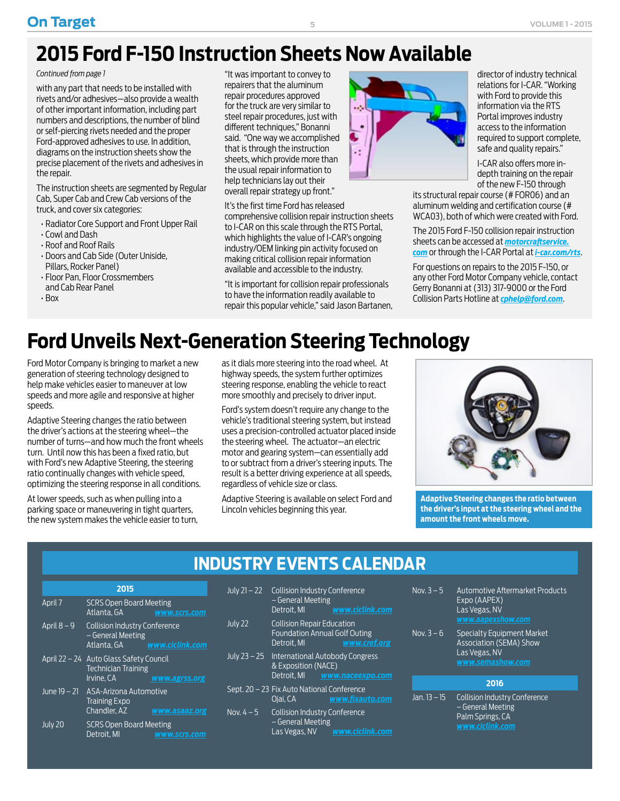# <span id="page-4-0"></span>**2015 Ford F-150 Instruction Sheets Now Available**

#### *[Continued from page 1](#page-0-0)*

with any part that needs to be installed with rivets and/or adhesives—also provide a wealth of other important information, including part numbers and descriptions, the number of blind or self-piercing rivets needed and the proper Ford-approved adhesives to use. In addition, diagrams on the instruction sheets show the precise placement of the rivets and adhesives in the repair.

The instruction sheets are segmented by Regular Cab, Super Cab and Crew Cab versions of the truck, and cover six categories:

- Radiator Core Support and Front Upper Rail
- Cowl and Dash
- Roof and Roof Rails
- Doors and Cab Side (Outer Uniside, Pillars, Rocker Panel)
- Floor Pan, Floor Crossmembers and Cab Rear Panel
- Box

"It was important to convey to repairers that the aluminum repair procedures approved for the truck are very similar to steel repair procedures, just with different techniques," Bonanni said. "One way we accomplished that is through the instruction sheets, which provide more than the usual repair information to help technicians lay out their overall repair strategy up front."

#### It's the first time Ford has released

comprehensive collision repair instruction sheets to I-CAR on this scale through the RTS Portal, which highlights the value of I-CAR's ongoing industry/OEM linking pin activity focused on making critical collision repair information available and accessible to the industry.

"It is important for collision repair professionals to have the information readily available to repair this popular vehicle," said Jason Bartanen,



director of industry technical relations for I-CAR. "Working with Ford to provide this information via the RTS Portal improves industry access to the information required to support complete, safe and quality repairs."

I-CAR also offers more indepth training on the repair of the new F-150 through

its structural repair course (# FOR06) and an aluminum welding and certification course (# WCA03), both of which were created with Ford.

The 2015 Ford F-150 collision repair instruction sheets can be accessed at *[motorcraftservice.](http://motorcraftservice.com) [com](http://motorcraftservice.com)* or through the I-CAR Portal at *[i-car.com/rts](http://I-CAR.com)*.

For questions on repairs to the 2015 F-150, or any other Ford Motor Company vehicle, contact Gerry Bonanni at (313) 317-9000 or the Ford Collision Parts Hotline at *[cphelp@ford.com](mailto:cphelp@ford.com)*.

# **Ford Unveils Next-Generation Steering Technology**

Ford Motor Company is bringing to market a new generation of steering technology designed to help make vehicles easier to maneuver at low speeds and more agile and responsive at higher speeds.

Adaptive Steering changes the ratio between the driver's actions at the steering wheel—the number of turns—and how much the front wheels turn. Until now this has been a fixed ratio, but with Ford's new Adaptive Steering, the steering ratio continually changes with vehicle speed, optimizing the steering response in all conditions.

At lower speeds, such as when pulling into a parking space or maneuvering in tight quarters, the new system makes the vehicle easier to turn, as it dials more steering into the road wheel. At highway speeds, the system further optimizes steering response, enabling the vehicle to react more smoothly and precisely to driver input.

Ford's system doesn't require any change to the vehicle's traditional steering system, but instead uses a precision-controlled actuator placed inside the steering wheel. The actuator—an electric motor and gearing system—can essentially add to or subtract from a driver's steering inputs. The result is a better driving experience at all speeds, regardless of vehicle size or class.

Adaptive Steering is available on select Ford and Lincoln vehicles beginning this year.



**Adaptive Steering changes the ratio between the driver's input at the steering wheel and the amount the front wheels move.**

# **INDUSTRY EVENTS CALENDAR**

| 2015          |                                                                                     |                     |  |  |
|---------------|-------------------------------------------------------------------------------------|---------------------|--|--|
| April 7       | <b>SCRS Open Board Meeting</b><br>Atlanta, GA                                       | www.scrs.com        |  |  |
| April $8 - 9$ | <b>Collision Industry Conference</b><br>– General Meeting<br>Atlanta. GA            | www.ciclink.com     |  |  |
|               | April 22 – 24 Auto Glass Safety Council<br><b>Technician Training</b><br>Irvine. CA | www.agrss.org       |  |  |
|               | June 19 – 21 ASA-Arizona Automotive<br><b>Training Expo</b><br>Chandler, AZ         | www.asaaz.org       |  |  |
| July 20       | <b>SCRS Open Board Meeting</b><br>Detroit. MI                                       | <u>www.scrs.com</u> |  |  |

| July 21 – 22 | <b>Collision Industry Conference</b><br>- General Meeting<br>Detroit, MI                 | www.ciclink.com  |
|--------------|------------------------------------------------------------------------------------------|------------------|
| July 22      | <b>Collision Repair Education</b><br><b>Foundation Annual Golf Outing</b><br>Detroit. MI | www.cref.org     |
|              | July 23 - 25 International Autobody Congress<br>& Exposition (NACE)<br>Detroit, MI       | www.naceexpo.com |
|              | Sept. 20 – 23 Fix Auto National Conference<br>Oiai. CA                                   | www.fixauto.com  |
| Nov. 4 $-5$  | <b>Collision Industry Conference</b>                                                     |                  |

– General Meeting Las Vegas, NV *[www.ciclink.com](http://www.ciclink.com)*

| Nov. $3-5$   | <b>Automotive Aftermarket Products</b><br>Expo (AAPEX)<br>Las Vegas, NV                           |
|--------------|---------------------------------------------------------------------------------------------------|
|              | www.aapexshow.com                                                                                 |
| Nov. 3 – 6   | Specialty Equipment Market<br><b>Association (SEMA) Show</b><br>Las Vegas, NV<br>www.semashow.com |
|              | 2016                                                                                              |
| Jan. 13 – 15 | <b>Collision Industry Conference</b><br>$C = 1$ . $C = 1$ . $A = 1$ . $C = 1$                     |

– General Meeting Palm Springs, CA *[www.ciclink.com](http:// www.ciclink.com )*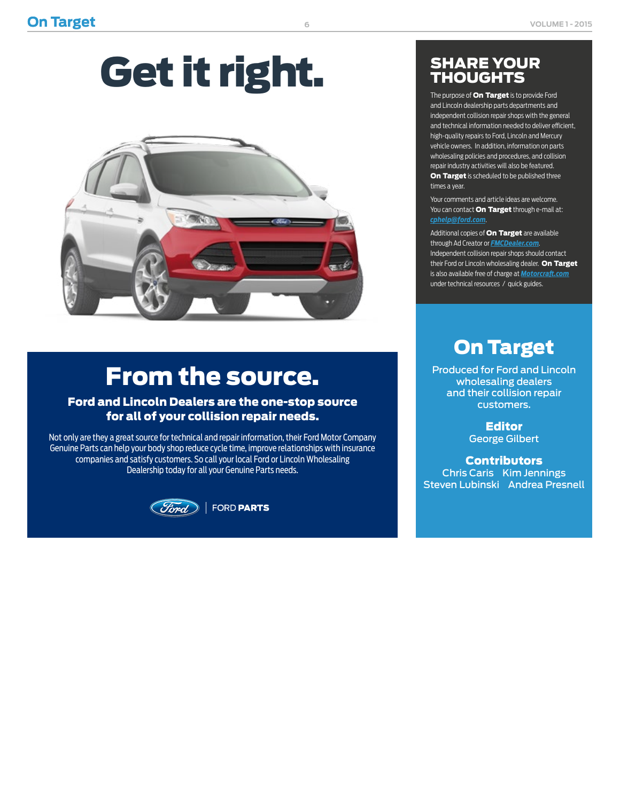# Get it right.



# From the source.

# Ford and Lincoln Dealers are the one-stop source for all of your collision repair needs.

Not only are they a great source for technical and repair information, their Ford Motor Company Genuine Parts can help your body shop reduce cycle time, improve relationships with insurance companies and satisfy customers. So call your local Ford or Lincoln Wholesaling Dealership today for all your Genuine Parts needs.



# SHARE YOUR **THOUGHTS**

The purpose of **On Target** is to provide Ford and Lincoln dealership parts departments and independent collision repair shops with the general and technical information needed to deliver efficient, high-quality repairs to Ford, Lincoln and Mercury vehicle owners. In addition, information on parts wholesaling policies and procedures, and collision repair industry activities will also be featured. On Target is scheduled to be published three times a year.

Your comments and article ideas are welcome. You can contact **On Target** through e-mail at: *[cphelp@ford.com](mailto:cphelp@ford.com)*.

Additional copies of **On Target** are available through Ad Creator or *[FMCDealer.com](https://www.wslx.dealerconnection.com)*. Independent collision repair shops should contact their Ford or Lincoln wholesaling dealer. On Target is also available free of charge at *[Motorcraft.com](http://Motorcraft.com)* under technical resources / quick guides.

# On Target

Produced for Ford and Lincoln wholesaling dealers and their collision repair customers.

> Editor George Gilbert

**Contributors** Chris Caris Kim Jennings Steven Lubinski Andrea Presnell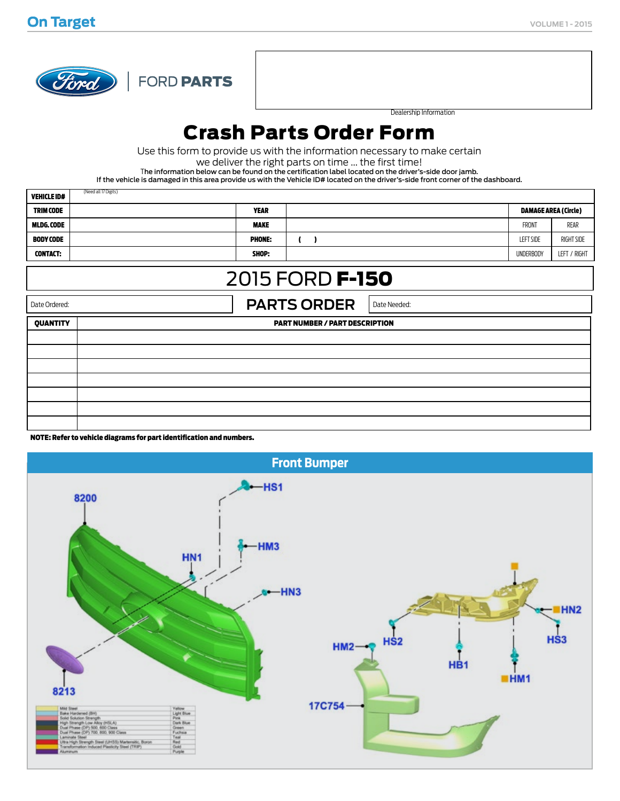

d all 17 Digits)

FORD PARTS

Dealership Information

# Crash Parts Order Form

Use this form to provide us with the information necessary to make certain

we deliver the right parts on time ... the first time!

The information below can be found on the certification label located on the driver's-side door jamb.

If the vehicle is damaged in this area provide us with the Vehicle ID# located on the driver's-side front corner of the dashboard.

| <b>VEHICLE ID#</b>                                  | (Need all 17 Digits)                  |                                          |  |                             |                  |              |  |  |
|-----------------------------------------------------|---------------------------------------|------------------------------------------|--|-----------------------------|------------------|--------------|--|--|
| <b>TRIM CODE</b>                                    | <b>YEAR</b>                           |                                          |  | <b>DAMAGE AREA (Circle)</b> |                  |              |  |  |
| MLDG. CODE                                          | <b>MAKE</b>                           |                                          |  |                             | FRONT            | rear         |  |  |
| <b>BODY CODE</b>                                    | <b>PHONE:</b>                         | $\mathbf{C}$<br>$\overline{\phantom{a}}$ |  |                             | <b>LEFT SIDE</b> | RIGHT SIDE   |  |  |
| <b>CONTACT:</b>                                     | SHOP:                                 |                                          |  |                             | <b>UNDERBODY</b> | LEFT / RIGHT |  |  |
| 2015 FORD <b>F-150</b>                              |                                       |                                          |  |                             |                  |              |  |  |
| <b>PARTS ORDER</b><br>Date Ordered:<br>Date Needed: |                                       |                                          |  |                             |                  |              |  |  |
| <b>QUANTITY</b>                                     | <b>PART NUMBER / PART DESCRIPTION</b> |                                          |  |                             |                  |              |  |  |
|                                                     |                                       |                                          |  |                             |                  |              |  |  |
|                                                     |                                       |                                          |  |                             |                  |              |  |  |
|                                                     |                                       |                                          |  |                             |                  |              |  |  |
|                                                     |                                       |                                          |  |                             |                  |              |  |  |
|                                                     |                                       |                                          |  |                             |                  |              |  |  |
|                                                     |                                       |                                          |  |                             |                  |              |  |  |
|                                                     |                                       |                                          |  |                             |                  |              |  |  |

NOTE: Refer to vehicle diagrams for part identification and numbers.